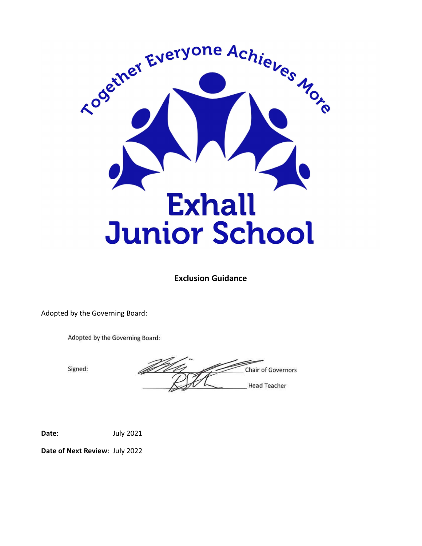

Exclusion Guidance

Adopted by the Governing Board:

Adopted by the Governing Board:

Signed:

**Chair of Governors Head Teacher** 

Date: July 2021

Date of Next Review: July 2022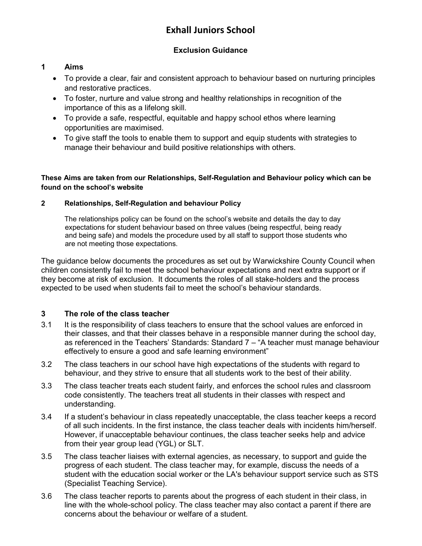## Exhall Juniors School

## Exclusion Guidance

## 1 Aims

- To provide a clear, fair and consistent approach to behaviour based on nurturing principles and restorative practices.
- To foster, nurture and value strong and healthy relationships in recognition of the importance of this as a lifelong skill.
- To provide a safe, respectful, equitable and happy school ethos where learning opportunities are maximised.
- To give staff the tools to enable them to support and equip students with strategies to manage their behaviour and build positive relationships with others.

These Aims are taken from our Relationships, Self-Regulation and Behaviour policy which can be found on the school's website

#### 2 Relationships, Self-Regulation and behaviour Policy

 The relationships policy can be found on the school's website and details the day to day expectations for student behaviour based on three values (being respectful, being ready and being safe) and models the procedure used by all staff to support those students who are not meeting those expectations.

The guidance below documents the procedures as set out by Warwickshire County Council when children consistently fail to meet the school behaviour expectations and next extra support or if they become at risk of exclusion. It documents the roles of all stake-holders and the process expected to be used when students fail to meet the school's behaviour standards.

## 3 The role of the class teacher

- 3.1 It is the responsibility of class teachers to ensure that the school values are enforced in their classes, and that their classes behave in a responsible manner during the school day, as referenced in the Teachers' Standards: Standard 7 – "A teacher must manage behaviour effectively to ensure a good and safe learning environment"
- 3.2 The class teachers in our school have high expectations of the students with regard to behaviour, and they strive to ensure that all students work to the best of their ability.
- 3.3 The class teacher treats each student fairly, and enforces the school rules and classroom code consistently. The teachers treat all students in their classes with respect and understanding.
- 3.4 If a student's behaviour in class repeatedly unacceptable, the class teacher keeps a record of all such incidents. In the first instance, the class teacher deals with incidents him/herself. However, if unacceptable behaviour continues, the class teacher seeks help and advice from their year group lead (YGL) or SLT.
- 3.5 The class teacher liaises with external agencies, as necessary, to support and guide the progress of each student. The class teacher may, for example, discuss the needs of a student with the education social worker or the LA's behaviour support service such as STS (Specialist Teaching Service).
- 3.6 The class teacher reports to parents about the progress of each student in their class, in line with the whole-school policy. The class teacher may also contact a parent if there are concerns about the behaviour or welfare of a student.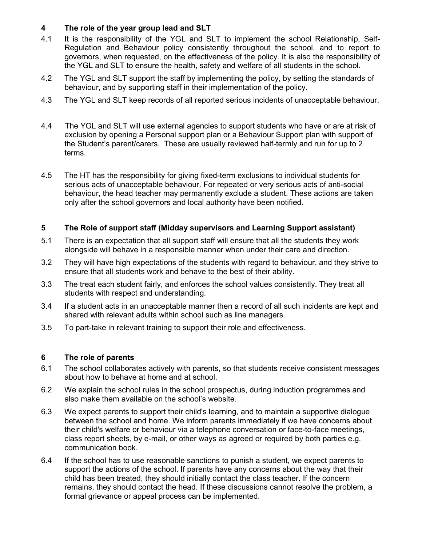### 4 The role of the year group lead and SLT

- 4.1 It is the responsibility of the YGL and SLT to implement the school Relationship, Self-Regulation and Behaviour policy consistently throughout the school, and to report to governors, when requested, on the effectiveness of the policy. It is also the responsibility of the YGL and SLT to ensure the health, safety and welfare of all students in the school.
- 4.2 The YGL and SLT support the staff by implementing the policy, by setting the standards of behaviour, and by supporting staff in their implementation of the policy.
- 4.3 The YGL and SLT keep records of all reported serious incidents of unacceptable behaviour.
- 4.4 The YGL and SLT will use external agencies to support students who have or are at risk of exclusion by opening a Personal support plan or a Behaviour Support plan with support of the Student's parent/carers. These are usually reviewed half-termly and run for up to 2 terms.
- 4.5 The HT has the responsibility for giving fixed-term exclusions to individual students for serious acts of unacceptable behaviour. For repeated or very serious acts of anti-social behaviour, the head teacher may permanently exclude a student. These actions are taken only after the school governors and local authority have been notified.

### 5 The Role of support staff (Midday supervisors and Learning Support assistant)

- 5.1 There is an expectation that all support staff will ensure that all the students they work alongside will behave in a responsible manner when under their care and direction.
- 3.2 They will have high expectations of the students with regard to behaviour, and they strive to ensure that all students work and behave to the best of their ability.
- 3.3 The treat each student fairly, and enforces the school values consistently. They treat all students with respect and understanding.
- 3.4 If a student acts in an unacceptable manner then a record of all such incidents are kept and shared with relevant adults within school such as line managers.
- 3.5 To part-take in relevant training to support their role and effectiveness.

#### 6 The role of parents

- 6.1 The school collaborates actively with parents, so that students receive consistent messages about how to behave at home and at school.
- 6.2 We explain the school rules in the school prospectus, during induction programmes and also make them available on the school's website.
- 6.3 We expect parents to support their child's learning, and to maintain a supportive dialogue between the school and home. We inform parents immediately if we have concerns about their child's welfare or behaviour via a telephone conversation or face-to-face meetings, class report sheets, by e-mail, or other ways as agreed or required by both parties e.g. communication book.
- 6.4 If the school has to use reasonable sanctions to punish a student, we expect parents to support the actions of the school. If parents have any concerns about the way that their child has been treated, they should initially contact the class teacher. If the concern remains, they should contact the head. If these discussions cannot resolve the problem, a formal grievance or appeal process can be implemented.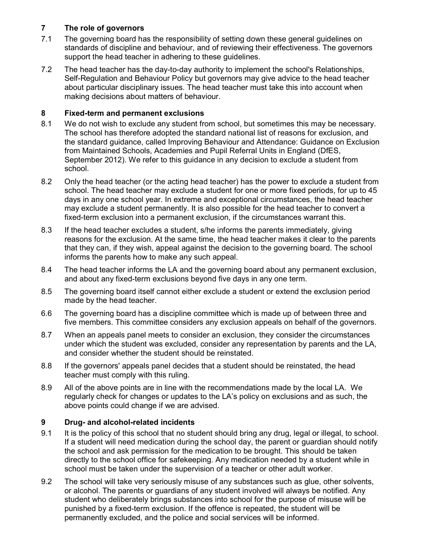## 7 The role of governors

- 7.1 The governing board has the responsibility of setting down these general guidelines on standards of discipline and behaviour, and of reviewing their effectiveness. The governors support the head teacher in adhering to these guidelines.
- 7.2 The head teacher has the day-to-day authority to implement the school's Relationships, Self-Regulation and Behaviour Policy but governors may give advice to the head teacher about particular disciplinary issues. The head teacher must take this into account when making decisions about matters of behaviour.

## 8 Fixed-term and permanent exclusions

- 8.1 We do not wish to exclude any student from school, but sometimes this may be necessary. The school has therefore adopted the standard national list of reasons for exclusion, and the standard guidance, called Improving Behaviour and Attendance: Guidance on Exclusion from Maintained Schools, Academies and Pupil Referral Units in England (DfES, September 2012). We refer to this guidance in any decision to exclude a student from school.
- 8.2 Only the head teacher (or the acting head teacher) has the power to exclude a student from school. The head teacher may exclude a student for one or more fixed periods, for up to 45 days in any one school year. In extreme and exceptional circumstances, the head teacher may exclude a student permanently. It is also possible for the head teacher to convert a fixed-term exclusion into a permanent exclusion, if the circumstances warrant this.
- 8.3 If the head teacher excludes a student, s/he informs the parents immediately, giving reasons for the exclusion. At the same time, the head teacher makes it clear to the parents that they can, if they wish, appeal against the decision to the governing board. The school informs the parents how to make any such appeal.
- 8.4 The head teacher informs the LA and the governing board about any permanent exclusion, and about any fixed-term exclusions beyond five days in any one term.
- 8.5 The governing board itself cannot either exclude a student or extend the exclusion period made by the head teacher.
- 6.6 The governing board has a discipline committee which is made up of between three and five members. This committee considers any exclusion appeals on behalf of the governors.
- 8.7 When an appeals panel meets to consider an exclusion, they consider the circumstances under which the student was excluded, consider any representation by parents and the LA, and consider whether the student should be reinstated.
- 8.8 If the governors' appeals panel decides that a student should be reinstated, the head teacher must comply with this ruling.
- 8.9 All of the above points are in line with the recommendations made by the local LA. We regularly check for changes or updates to the LA's policy on exclusions and as such, the above points could change if we are advised.

## 9 Drug- and alcohol-related incidents

- 9.1 It is the policy of this school that no student should bring any drug, legal or illegal, to school. If a student will need medication during the school day, the parent or guardian should notify the school and ask permission for the medication to be brought. This should be taken directly to the school office for safekeeping. Any medication needed by a student while in school must be taken under the supervision of a teacher or other adult worker.
- 9.2 The school will take very seriously misuse of any substances such as glue, other solvents, or alcohol. The parents or guardians of any student involved will always be notified. Any student who deliberately brings substances into school for the purpose of misuse will be punished by a fixed-term exclusion. If the offence is repeated, the student will be permanently excluded, and the police and social services will be informed.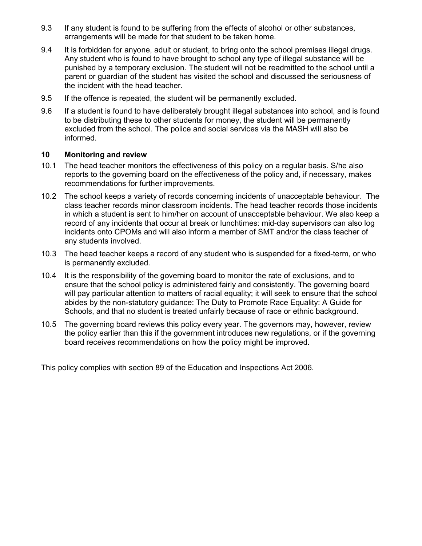- 9.3 If any student is found to be suffering from the effects of alcohol or other substances, arrangements will be made for that student to be taken home.
- 9.4 It is forbidden for anyone, adult or student, to bring onto the school premises illegal drugs. Any student who is found to have brought to school any type of illegal substance will be punished by a temporary exclusion. The student will not be readmitted to the school until a parent or guardian of the student has visited the school and discussed the seriousness of the incident with the head teacher.
- 9.5 If the offence is repeated, the student will be permanently excluded.
- 9.6 If a student is found to have deliberately brought illegal substances into school, and is found to be distributing these to other students for money, the student will be permanently excluded from the school. The police and social services via the MASH will also be informed.

#### 10 Monitoring and review

- 10.1 The head teacher monitors the effectiveness of this policy on a regular basis. S/he also reports to the governing board on the effectiveness of the policy and, if necessary, makes recommendations for further improvements.
- 10.2 The school keeps a variety of records concerning incidents of unacceptable behaviour. The class teacher records minor classroom incidents. The head teacher records those incidents in which a student is sent to him/her on account of unacceptable behaviour. We also keep a record of any incidents that occur at break or lunchtimes: mid-day supervisors can also log incidents onto CPOMs and will also inform a member of SMT and/or the class teacher of any students involved.
- 10.3 The head teacher keeps a record of any student who is suspended for a fixed-term, or who is permanently excluded.
- 10.4 It is the responsibility of the governing board to monitor the rate of exclusions, and to ensure that the school policy is administered fairly and consistently. The governing board will pay particular attention to matters of racial equality; it will seek to ensure that the school abides by the non-statutory guidance: The Duty to Promote Race Equality: A Guide for Schools, and that no student is treated unfairly because of race or ethnic background.
- 10.5 The governing board reviews this policy every year. The governors may, however, review the policy earlier than this if the government introduces new regulations, or if the governing board receives recommendations on how the policy might be improved.

This policy complies with section 89 of the Education and Inspections Act 2006.